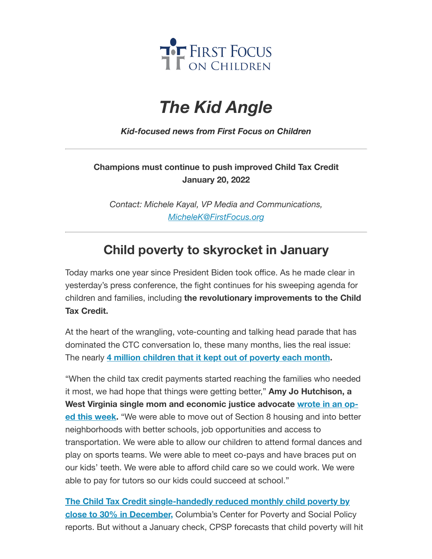

## *The Kid Angle*

*Kid-focused news from First Focus on Children*

## **Champions must continue to push improved Child Tax Credit January 20, 2022**

*Contact: Michele Kayal, VP Media and Communications, [MicheleK@FirstFocus.org](mailto:MicheleK@firstfocus.org)*

## **Child poverty to skyrocket in January**

Today marks one year since President Biden took office. As he made clear in yesterday's press conference, the fight continues for his sweeping agenda for children and families, including **the revolutionary improvements to the Child Tax Credit.**

At the heart of the wrangling, vote-counting and talking head parade that has dominated the CTC conversation lo, these many months, lies the real issue: The nearly **4 million [children](https://action.campaignforchildren.org/r?u=UmPwcm28_uDg6gTj_jN0OFQGFP1Darjs7xjyaWV7fPq31gIxt7SXaWsiMGDEAnqc2Pqj1LC59e08udMt5Y1Gxd1liRL07feyKCDgGE7ayz2iNIIE1c9WlHAIJKm-zbtb&e=6d50ef9bac605c372bd31a2e7c9cacfd&utm_source=ffcc&utm_medium=email&utm_campaign=_85_amy_jo_op_ed_on_ctc&n=2&test_email=1) that it kept out of poverty each month.**

"When the child tax credit payments started reaching the families who needed it most, we had hope that things were getting better," **Amy Jo Hutchison, a West Virginia single mom and [economic](https://action.campaignforchildren.org/r?u=_bQDpjwqDZnzEChrc7EqlFrFewRnTNfVT65RFzj8EW9jigtZn3CoOdVxFRgidAHeV0oF4__SINnh7YRyiQ0HFy1cIOL-uCR57JkUXk9ZyQ8M8EbXZXsAKLLMmRy8Wda49bluQbgSxQnMdkLCk3zEYkw3_RGq7fxNkupxKHO26J--8b94CnE4GgqcizWZ_gsCJNjxcctV_B17MHFYOs7_KM6OOFqeSHoHT2NksxQT5f0&e=6d50ef9bac605c372bd31a2e7c9cacfd&utm_source=ffcc&utm_medium=email&utm_campaign=_85_amy_jo_op_ed_on_ctc&n=3&test_email=1) justice advocate wrote in an oped this week.** "We were able to move out of Section 8 housing and into better neighborhoods with better schools, job opportunities and access to transportation. We were able to allow our children to attend formal dances and play on sports teams. We were able to meet co-pays and have braces put on our kids' teeth. We were able to afford child care so we could work. We were able to pay for tutors so our kids could succeed at school."

**The Child Tax Credit single-handedly reduced monthly child poverty by close to 30% in December,** [Columbia's Center](https://action.campaignforchildren.org/r?u=UmPwcm28_uDg6gTj_jN0OFQGFP1Darjs7xjyaWV7fPq31gIxt7SXaWsiMGDEAnqc2Pqj1LC59e08udMt5Y1Gxd1liRL07feyKCDgGE7ayz2iNIIE1c9WlHAIJKm-zbtb&e=6d50ef9bac605c372bd31a2e7c9cacfd&utm_source=ffcc&utm_medium=email&utm_campaign=_85_amy_jo_op_ed_on_ctc&n=4&test_email=1) for Poverty and Social Policy reports. But without a January check, CPSP forecasts that child poverty will hit